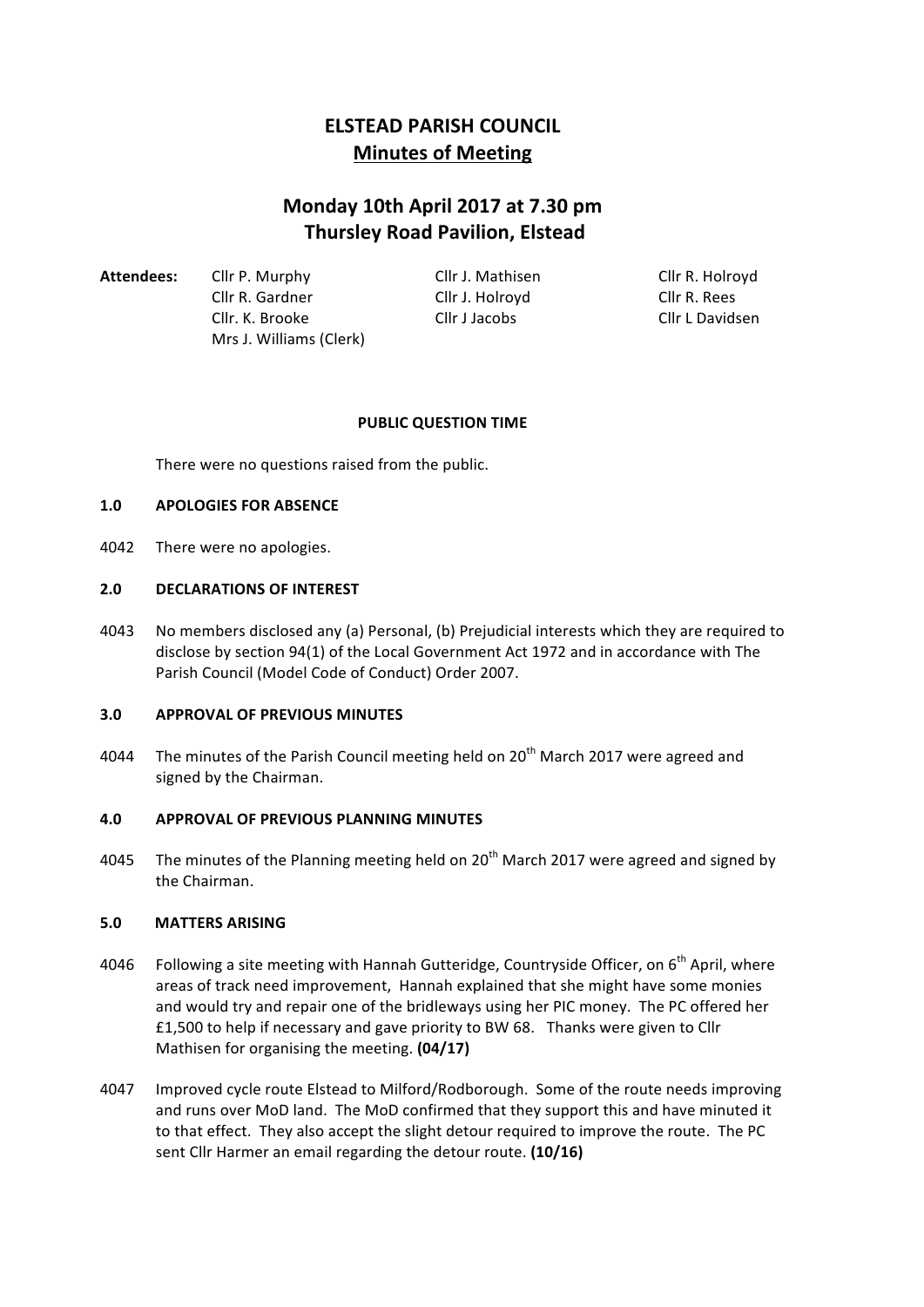# **ELSTEAD PARISH COUNCIL Minutes of Meeting**

# **Monday 10th April 2017 at 7.30 pm Thursley Road Pavilion, Elstead**

Attendees: Cllr P. Murphy Cllr J. Mathisen Cllr R. Holroyd Cllr R. Gardner Cllr J. Holroyd Cllr R. Rees Cllr. K. Brooke Cllr J Jacobs Cllr L Davidsen Mrs J. Williams (Clerk)

## **PUBLIC QUESTION TIME**

There were no questions raised from the public.

# **1.0 APOLOGIES FOR ABSENCE**

4042 There were no apologies.

# 2.0 **DECLARATIONS OF INTEREST**

4043 No members disclosed any (a) Personal, (b) Prejudicial interests which they are required to disclose by section 94(1) of the Local Government Act 1972 and in accordance with The Parish Council (Model Code of Conduct) Order 2007.

## **3.0 APPROVAL OF PREVIOUS MINUTES**

4044 The minutes of the Parish Council meeting held on  $20<sup>th</sup>$  March 2017 were agreed and signed by the Chairman.

## **4.0 APPROVAL OF PREVIOUS PLANNING MINUTES**

4045 The minutes of the Planning meeting held on  $20<sup>th</sup>$  March 2017 were agreed and signed by the Chairman.

## **5.0 MATTERS ARISING**

- 4046 Following a site meeting with Hannah Gutteridge, Countryside Officer, on  $6^{th}$  April, where areas of track need improvement, Hannah explained that she might have some monies and would try and repair one of the bridleways using her PIC money. The PC offered her £1,500 to help if necessary and gave priority to BW 68. Thanks were given to Cllr Mathisen for organising the meeting. **(04/17)**
- 4047 Improved cycle route Elstead to Milford/Rodborough. Some of the route needs improving and runs over MoD land. The MoD confirmed that they support this and have minuted it to that effect. They also accept the slight detour required to improve the route. The PC sent Cllr Harmer an email regarding the detour route. (10/16)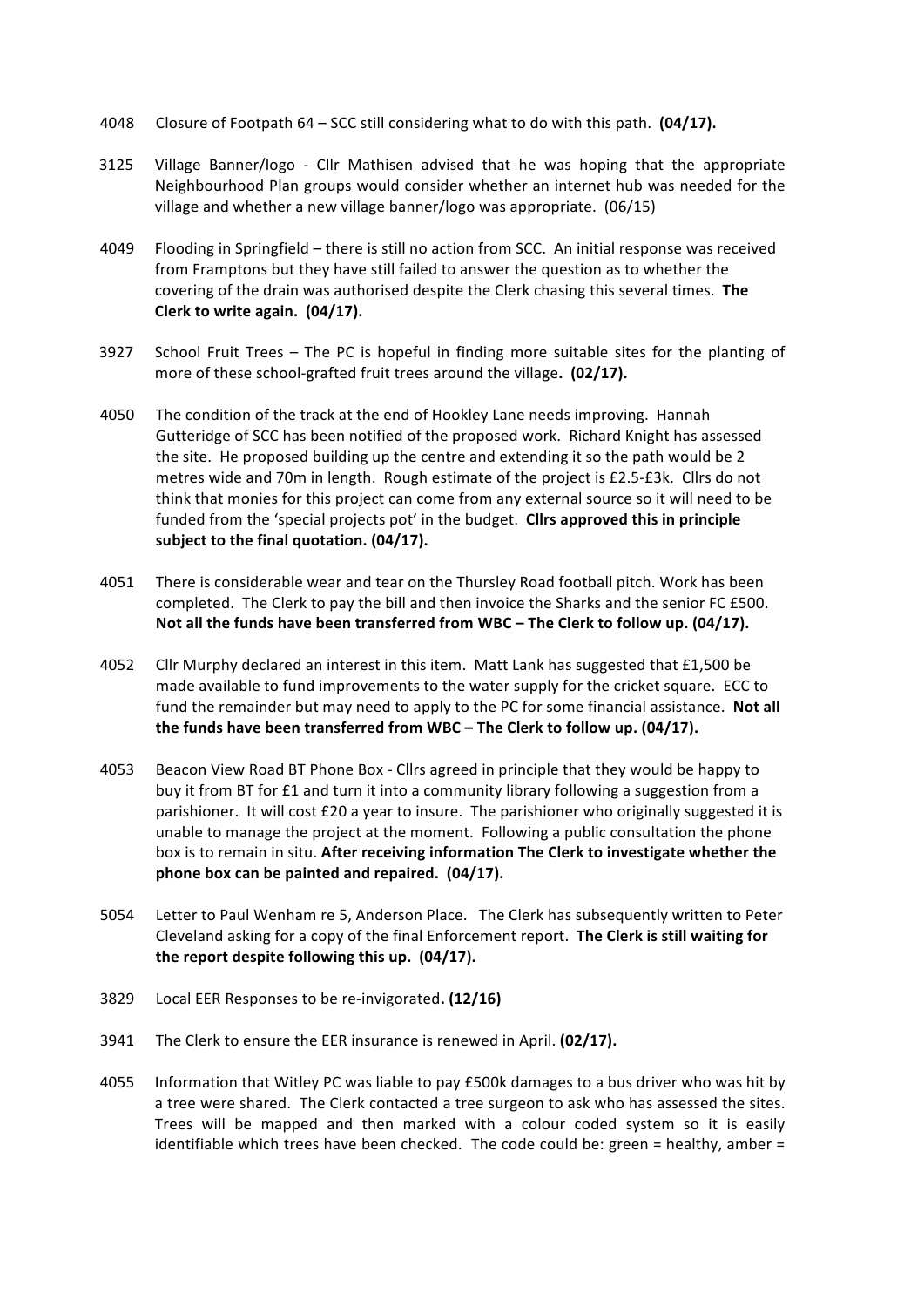- 4048 Closure of Footpath 64 SCC still considering what to do with this path. (04/17).
- 3125 Village Banner/logo Cllr Mathisen advised that he was hoping that the appropriate Neighbourhood Plan groups would consider whether an internet hub was needed for the village and whether a new village banner/logo was appropriate. (06/15)
- 4049 Flooding in Springfield there is still no action from SCC. An initial response was received from Framptons but they have still failed to answer the question as to whether the covering of the drain was authorised despite the Clerk chasing this several times. The **Clerk to write again. (04/17).**
- 3927 School Fruit Trees The PC is hopeful in finding more suitable sites for the planting of more of these school-grafted fruit trees around the village. (02/17).
- 4050 The condition of the track at the end of Hookley Lane needs improving. Hannah Gutteridge of SCC has been notified of the proposed work. Richard Knight has assessed the site. He proposed building up the centre and extending it so the path would be 2 metres wide and 70m in length. Rough estimate of the project is £2.5-£3k. Cllrs do not think that monies for this project can come from any external source so it will need to be funded from the 'special projects pot' in the budget. **Cllrs approved this in principle** subject to the final quotation. (04/17).
- 4051 There is considerable wear and tear on the Thursley Road football pitch. Work has been completed. The Clerk to pay the bill and then invoice the Sharks and the senior FC £500. Not all the funds have been transferred from WBC – The Clerk to follow up. (04/17).
- 4052 Cllr Murphy declared an interest in this item. Matt Lank has suggested that £1,500 be made available to fund improvements to the water supply for the cricket square. ECC to fund the remainder but may need to apply to the PC for some financial assistance. Not all the funds have been transferred from WBC – The Clerk to follow up. (04/17).
- 4053 Beacon View Road BT Phone Box Cllrs agreed in principle that they would be happy to buy it from BT for £1 and turn it into a community library following a suggestion from a parishioner. It will cost £20 a year to insure. The parishioner who originally suggested it is unable to manage the project at the moment. Following a public consultation the phone box is to remain in situ. After receiving information The Clerk to investigate whether the **phone box can be painted and repaired.** (04/17).
- 5054 Letter to Paul Wenham re 5, Anderson Place. The Clerk has subsequently written to Peter Cleveland asking for a copy of the final Enforcement report. The Clerk is still waiting for the report despite following this up. (04/17).
- 3829 Local EER Responses to be re-invigorated. (12/16)
- 3941 The Clerk to ensure the EER insurance is renewed in April. (02/17).
- 4055 Information that Witley PC was liable to pay £500k damages to a bus driver who was hit by a tree were shared. The Clerk contacted a tree surgeon to ask who has assessed the sites. Trees will be mapped and then marked with a colour coded system so it is easily identifiable which trees have been checked. The code could be: green = healthy, amber =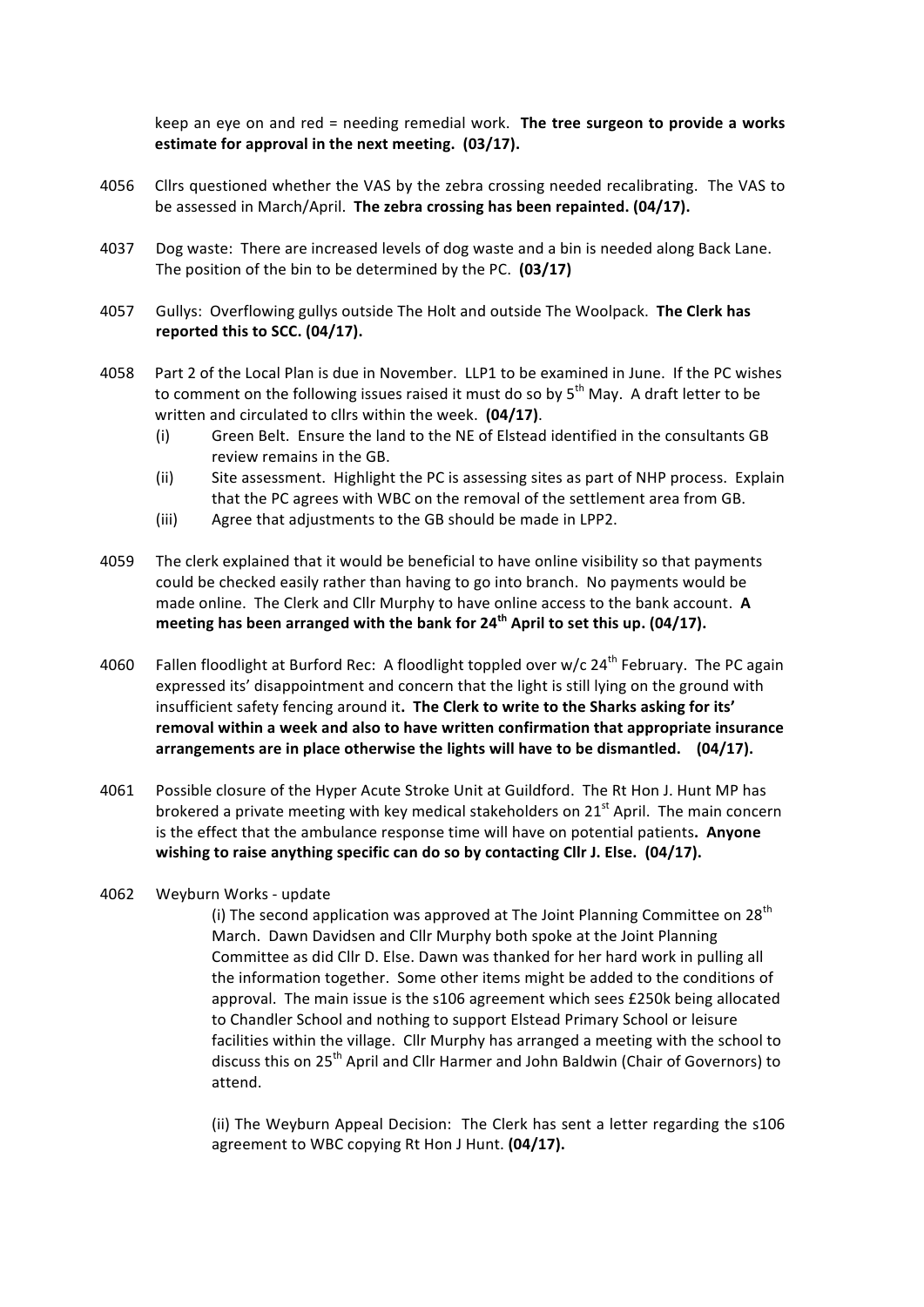keep an eye on and red = needing remedial work. The tree surgeon to provide a works **estimate for approval in the next meeting. (03/17).** 

- 4056 Cllrs questioned whether the VAS by the zebra crossing needed recalibrating. The VAS to be assessed in March/April. The zebra crossing has been repainted. (04/17).
- 4037 Dog waste: There are increased levels of dog waste and a bin is needed along Back Lane. The position of the bin to be determined by the PC. (03/17)
- 4057 Gullys: Overflowing gullys outside The Holt and outside The Woolpack. **The Clerk has** reported this to SCC. (04/17).
- 4058 Part 2 of the Local Plan is due in November. LLP1 to be examined in June. If the PC wishes to comment on the following issues raised it must do so by  $5<sup>th</sup>$  May. A draft letter to be written and circulated to cllrs within the week. (04/17).
	- (i) Green Belt. Ensure the land to the NE of Elstead identified in the consultants GB review remains in the GB.
	- (ii) Site assessment. Highlight the PC is assessing sites as part of NHP process. Explain that the PC agrees with WBC on the removal of the settlement area from GB.
	- (iii) Agree that adjustments to the GB should be made in LPP2.
- 4059 The clerk explained that it would be beneficial to have online visibility so that payments could be checked easily rather than having to go into branch. No payments would be made online. The Clerk and Cllr Murphy to have online access to the bank account. A **meeting has been arranged with the bank for 24<sup>th</sup> April to set this up. (04/17).**
- 4060 Fallen floodlight at Burford Rec: A floodlight toppled over w/c  $24^{th}$  February. The PC again expressed its' disappointment and concern that the light is still lying on the ground with insufficient safety fencing around it. The Clerk to write to the Sharks asking for its' **removal within a week and also to have written confirmation that appropriate insurance** arrangements are in place otherwise the lights will have to be dismantled. (04/17).
- 4061 Possible closure of the Hyper Acute Stroke Unit at Guildford. The Rt Hon J. Hunt MP has brokered a private meeting with key medical stakeholders on  $21^{st}$  April. The main concern is the effect that the ambulance response time will have on potential patients. Anyone wishing to raise anything specific can do so by contacting Cllr J. Else. (04/17).
- 4062 Weyburn Works update

(i) The second application was approved at The Joint Planning Committee on  $28<sup>th</sup>$ March. Dawn Davidsen and Cllr Murphy both spoke at the Joint Planning Committee as did Cllr D. Else. Dawn was thanked for her hard work in pulling all the information together. Some other items might be added to the conditions of approval. The main issue is the s106 agreement which sees £250k being allocated to Chandler School and nothing to support Elstead Primary School or leisure facilities within the village. Cllr Murphy has arranged a meeting with the school to discuss this on  $25<sup>th</sup>$  April and Cllr Harmer and John Baldwin (Chair of Governors) to attend. 

(ii) The Weyburn Appeal Decision: The Clerk has sent a letter regarding the s106 agreement to WBC copying Rt Hon J Hunt. (04/17).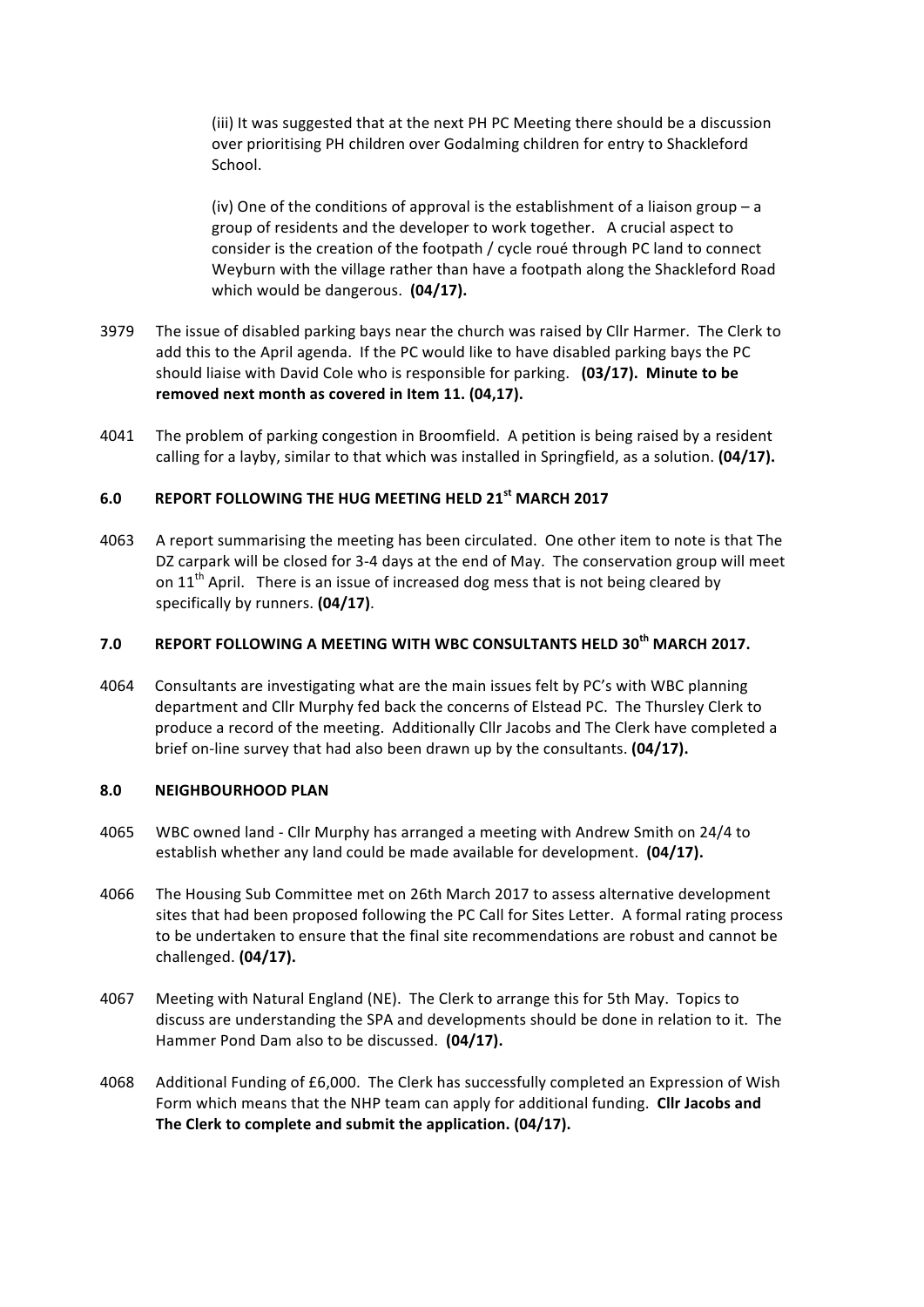(iii) It was suggested that at the next PH PC Meeting there should be a discussion over prioritising PH children over Godalming children for entry to Shackleford School. 

(iv) One of the conditions of approval is the establishment of a liaison group – a group of residents and the developer to work together. A crucial aspect to consider is the creation of the footpath / cycle roué through PC land to connect Weyburn with the village rather than have a footpath along the Shackleford Road which would be dangerous. (04/17).

- 3979 The issue of disabled parking bays near the church was raised by Cllr Harmer. The Clerk to add this to the April agenda. If the PC would like to have disabled parking bays the PC should liaise with David Cole who is responsible for parking. (03/17). Minute to be removed next month as covered in Item 11. (04,17).
- 4041 The problem of parking congestion in Broomfield. A petition is being raised by a resident calling for a layby, similar to that which was installed in Springfield, as a solution. (04/17).

# 6.0 REPORT FOLLOWING THE HUG MEETING HELD 21<sup>st</sup> MARCH 2017

4063 A report summarising the meeting has been circulated. One other item to note is that The DZ carpark will be closed for 3-4 days at the end of May. The conservation group will meet on  $11<sup>th</sup>$  April. There is an issue of increased dog mess that is not being cleared by specifically by runners. (04/17).

# **7.0 REPORT FOLLOWING A MEETING WITH WBC CONSULTANTS HELD 30th MARCH 2017.**

4064 Consultants are investigating what are the main issues felt by PC's with WBC planning department and Cllr Murphy fed back the concerns of Elstead PC. The Thursley Clerk to produce a record of the meeting. Additionally Cllr Jacobs and The Clerk have completed a brief on-line survey that had also been drawn up by the consultants. (04/17).

#### **8.0 NEIGHBOURHOOD PLAN**

- 4065 WBC owned land Cllr Murphy has arranged a meeting with Andrew Smith on 24/4 to establish whether any land could be made available for development. (04/17).
- 4066 The Housing Sub Committee met on 26th March 2017 to assess alternative development sites that had been proposed following the PC Call for Sites Letter. A formal rating process to be undertaken to ensure that the final site recommendations are robust and cannot be challenged. **(04/17).**
- 4067 Meeting with Natural England (NE). The Clerk to arrange this for 5th May. Topics to discuss are understanding the SPA and developments should be done in relation to it. The Hammer Pond Dam also to be discussed. (04/17).
- 4068 Additional Funding of £6,000. The Clerk has successfully completed an Expression of Wish Form which means that the NHP team can apply for additional funding. Cllr Jacobs and The Clerk to complete and submit the application. (04/17).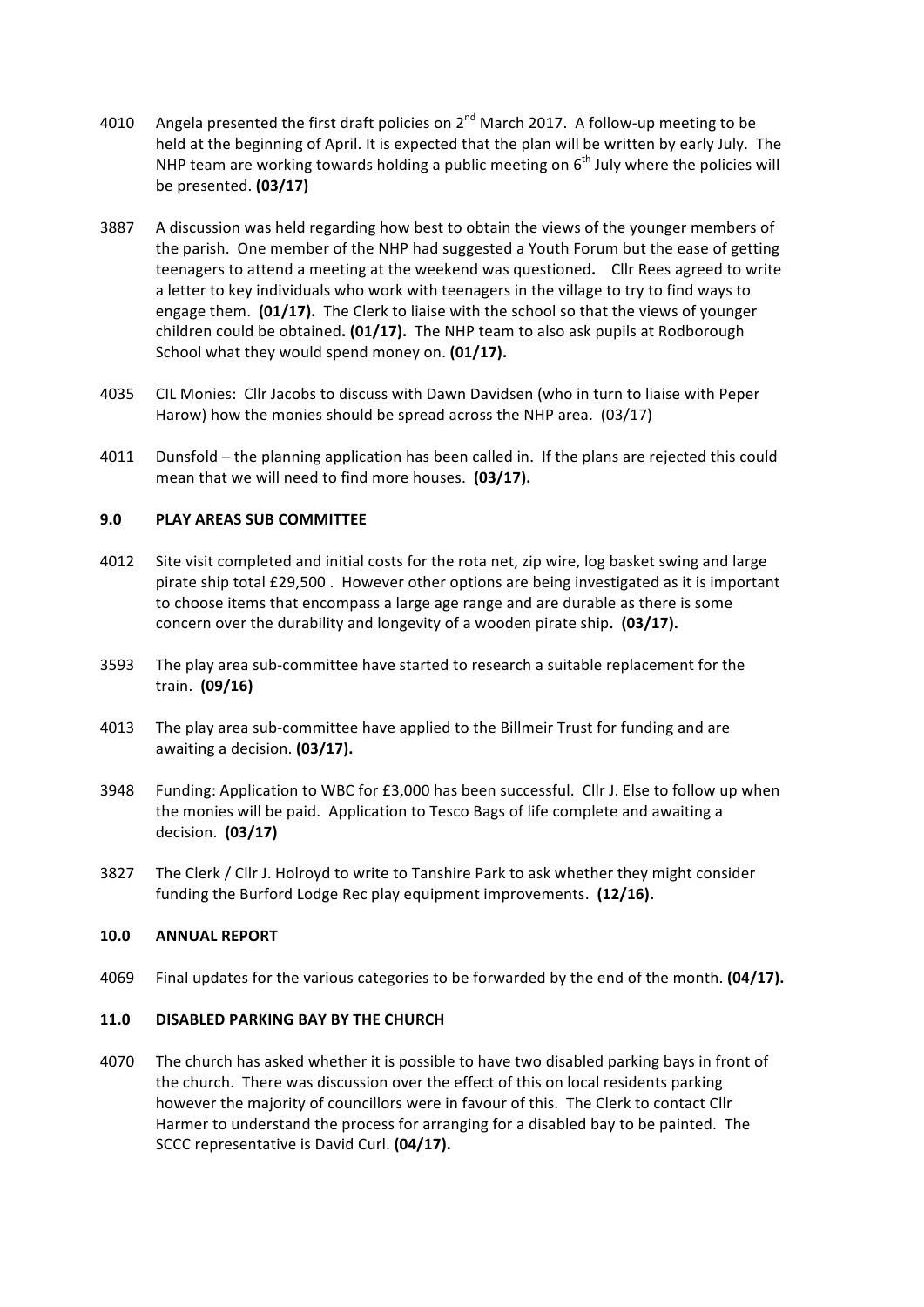- 4010 Angela presented the first draft policies on  $2^{nd}$  March 2017. A follow-up meeting to be held at the beginning of April. It is expected that the plan will be written by early July. The NHP team are working towards holding a public meeting on  $6<sup>th</sup>$  July where the policies will be presented. **(03/17)**
- 3887 A discussion was held regarding how best to obtain the views of the younger members of the parish. One member of the NHP had suggested a Youth Forum but the ease of getting teenagers to attend a meeting at the weekend was questioned. Cllr Rees agreed to write a letter to key individuals who work with teenagers in the village to try to find ways to engage them. (01/17). The Clerk to liaise with the school so that the views of younger children could be obtained. (01/17). The NHP team to also ask pupils at Rodborough School what they would spend money on. (01/17).
- 4035 CIL Monies: Cllr Jacobs to discuss with Dawn Davidsen (who in turn to liaise with Peper Harow) how the monies should be spread across the NHP area.  $(03/17)$
- 4011 Dunsfold the planning application has been called in. If the plans are rejected this could mean that we will need to find more houses. (03/17).

## **9.0 PLAY AREAS SUB COMMITTEE**

- 4012 Site visit completed and initial costs for the rota net, zip wire, log basket swing and large pirate ship total £29,500. However other options are being investigated as it is important to choose items that encompass a large age range and are durable as there is some concern over the durability and longevity of a wooden pirate ship. (03/17).
- 3593 The play area sub-committee have started to research a suitable replacement for the train. **(09/16)**
- 4013 The play area sub-committee have applied to the Billmeir Trust for funding and are awaiting a decision. (03/17).
- 3948 Funding: Application to WBC for £3,000 has been successful. Cllr J. Else to follow up when the monies will be paid. Application to Tesco Bags of life complete and awaiting a decision. **(03/17)**
- 3827 The Clerk / Cllr J. Holroyd to write to Tanshire Park to ask whether they might consider funding the Burford Lodge Rec play equipment improvements. (12/16).

## **10.0 ANNUAL REPORT**

4069 Final updates for the various categories to be forwarded by the end of the month. **(04/17).** 

## **11.0 DISABLED PARKING BAY BY THE CHURCH**

4070 The church has asked whether it is possible to have two disabled parking bays in front of the church. There was discussion over the effect of this on local residents parking however the majority of councillors were in favour of this. The Clerk to contact Cllr Harmer to understand the process for arranging for a disabled bay to be painted. The SCCC representative is David Curl. **(04/17).**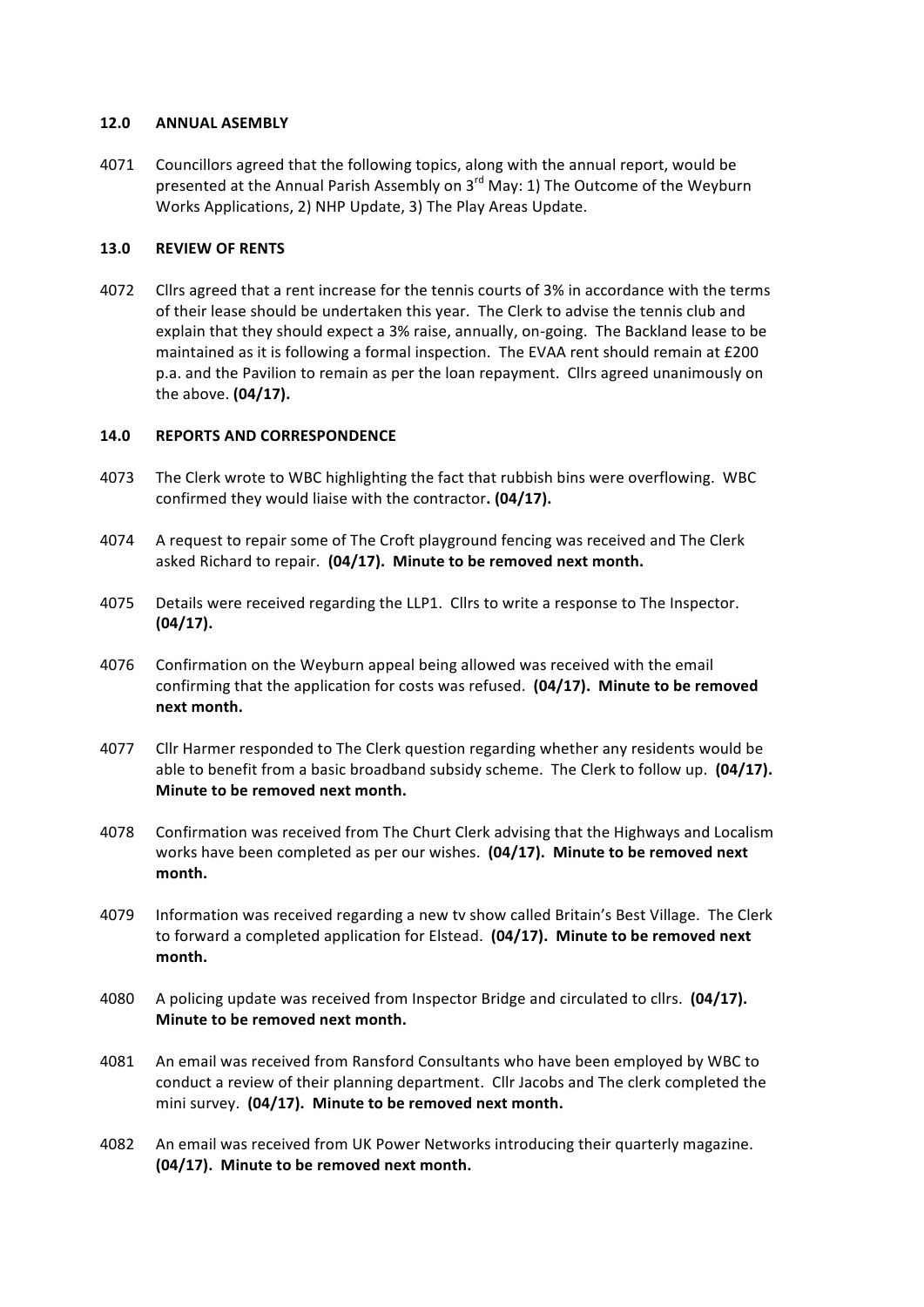#### **12.0 ANNUAL ASEMBLY**

4071 Councillors agreed that the following topics, along with the annual report, would be presented at the Annual Parish Assembly on  $3^{rd}$  May: 1) The Outcome of the Weyburn Works Applications, 2) NHP Update, 3) The Play Areas Update.

#### **13.0 REVIEW OF RENTS**

4072 Cllrs agreed that a rent increase for the tennis courts of 3% in accordance with the terms of their lease should be undertaken this year. The Clerk to advise the tennis club and explain that they should expect a 3% raise, annually, on-going. The Backland lease to be maintained as it is following a formal inspection. The EVAA rent should remain at £200 p.a. and the Pavilion to remain as per the loan repayment. Cllrs agreed unanimously on the above. **(04/17).** 

#### 14.0 **REPORTS AND CORRESPONDENCE**

- 4073 The Clerk wrote to WBC highlighting the fact that rubbish bins were overflowing. WBC confirmed they would liaise with the contractor. (04/17).
- 4074 A request to repair some of The Croft playground fencing was received and The Clerk asked Richard to repair. (04/17). Minute to be removed next month.
- 4075 Details were received regarding the LLP1. Cllrs to write a response to The Inspector. **(04/17).**
- 4076 Confirmation on the Weyburn appeal being allowed was received with the email confirming that the application for costs was refused. (04/17). Minute to be removed **next month.**
- 4077 Cllr Harmer responded to The Clerk question regarding whether any residents would be able to benefit from a basic broadband subsidy scheme. The Clerk to follow up. (04/17). **Minute to be removed next month.**
- 4078 Confirmation was received from The Churt Clerk advising that the Highways and Localism works have been completed as per our wishes. (04/17). Minute to be removed next **month.**
- 4079 Information was received regarding a new tv show called Britain's Best Village. The Clerk to forward a completed application for Elstead. (04/17). Minute to be removed next **month.**
- 4080 A policing update was received from Inspector Bridge and circulated to cllrs. (04/17). **Minute to be removed next month.**
- 4081 An email was received from Ransford Consultants who have been employed by WBC to conduct a review of their planning department. Cllr Jacobs and The clerk completed the mini survey. (04/17). Minute to be removed next month.
- 4082 An email was received from UK Power Networks introducing their quarterly magazine. (04/17). Minute to be removed next month.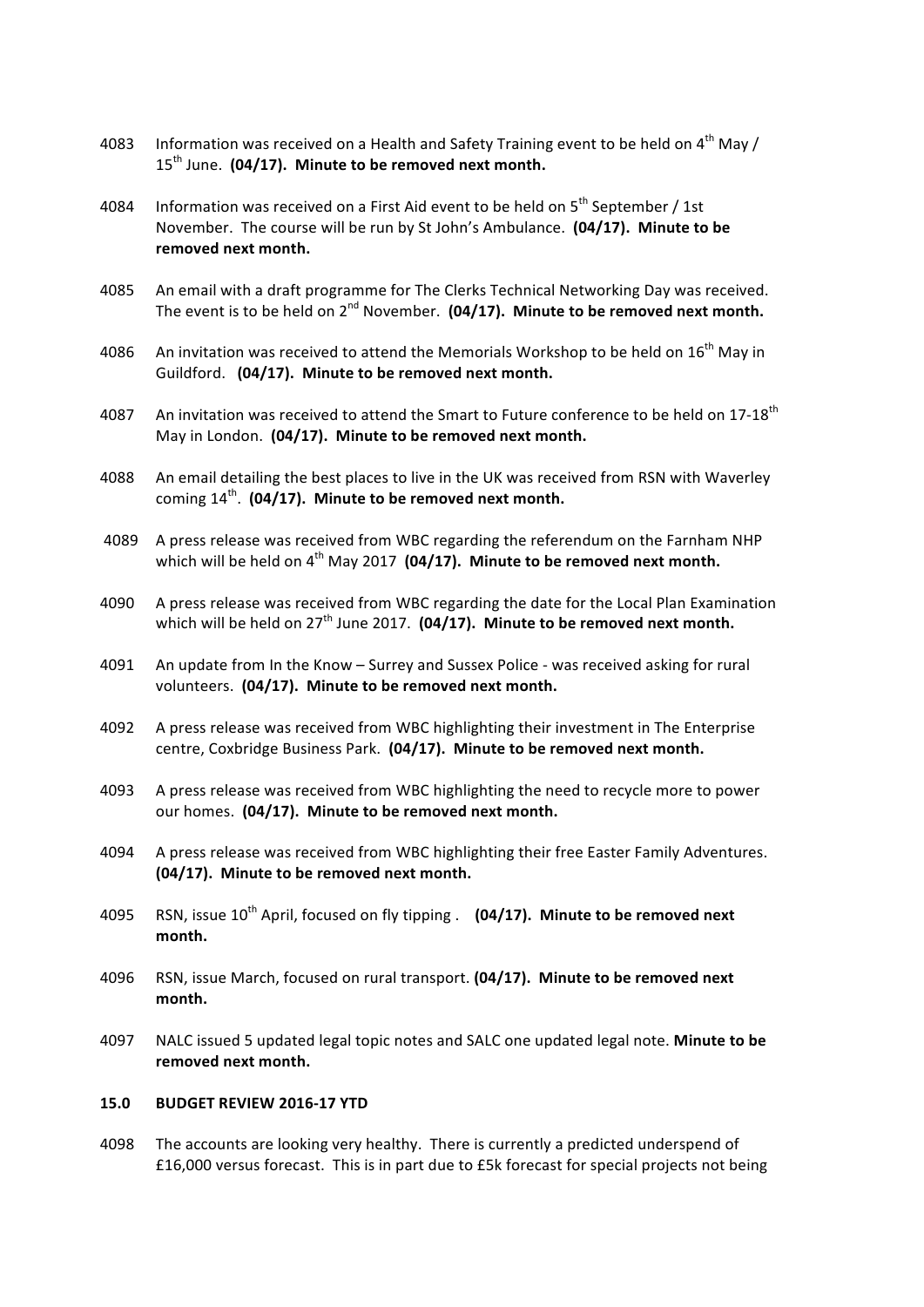- 4083 Information was received on a Health and Safety Training event to be held on  $4^{\text{th}}$  May / 15<sup>th</sup> June. (04/17). Minute to be removed next month.
- 4084 Information was received on a First Aid event to be held on  $5<sup>th</sup>$  September / 1st November. The course will be run by St John's Ambulance. (04/17). Minute to be removed next month.
- 4085 An email with a draft programme for The Clerks Technical Networking Day was received. The event is to be held on 2<sup>nd</sup> November. (04/17). Minute to be removed next month.
- 4086 An invitation was received to attend the Memorials Workshop to be held on 16<sup>th</sup> May in Guildford. (04/17). Minute to be removed next month.
- 4087 An invitation was received to attend the Smart to Future conference to be held on 17-18<sup>th</sup> May in London. (04/17). Minute to be removed next month.
- 4088 An email detailing the best places to live in the UK was received from RSN with Waverley coming  $14^{th}$ . (04/17). Minute to be removed next month.
- 4089 A press release was received from WBC regarding the referendum on the Farnham NHP which will be held on  $4<sup>th</sup>$  May 2017 (04/17). Minute to be removed next month.
- 4090 A press release was received from WBC regarding the date for the Local Plan Examination which will be held on  $27<sup>th</sup>$  June 2017. (04/17). Minute to be removed next month.
- 4091 An update from In the Know Surrey and Sussex Police was received asking for rural volunteers. (04/17). Minute to be removed next month.
- 4092 A press release was received from WBC highlighting their investment in The Enterprise centre, Coxbridge Business Park. (04/17). Minute to be removed next month.
- 4093 A press release was received from WBC highlighting the need to recycle more to power our homes. (04/17). Minute to be removed next month.
- 4094 A press release was received from WBC highlighting their free Easter Family Adventures. (04/17). Minute to be removed next month.
- 4095 RSN, issue 10<sup>th</sup> April, focused on fly tipping . (04/17). Minute to be removed next **month.**
- 4096 RSN, issue March, focused on rural transport. (04/17). Minute to be removed next **month.**
- 4097 NALC issued 5 updated legal topic notes and SALC one updated legal note. Minute to be removed next month.

#### **15.0 BUDGET REVIEW 2016-17 YTD**

4098 The accounts are looking very healthy. There is currently a predicted underspend of £16,000 versus forecast. This is in part due to £5k forecast for special projects not being